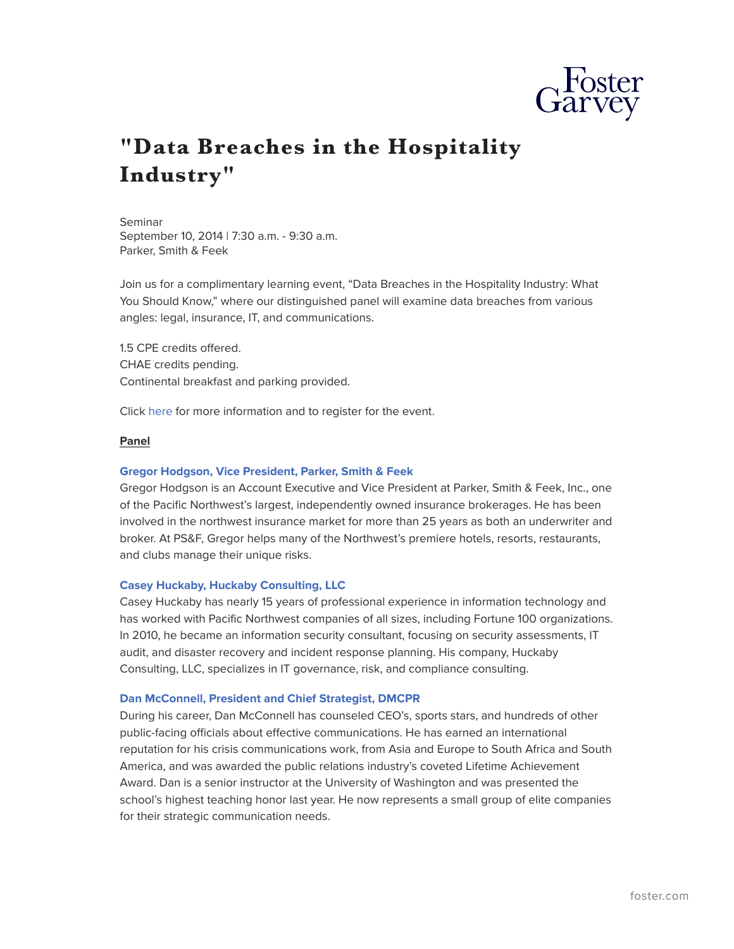

# **"Data Breaches in the Hospitality Industry"**

#### Seminar

September 10, 2014 | 7:30 a.m. - 9:30 a.m. Parker, Smith & Feek

Join us for a complimentary learning event, "Data Breaches in the Hospitality Industry: What You Should Know," where our distinguished panel will examine data breaches from various angles: legal, insurance, IT, and communications.

1.5 CPE credits offered. CHAE credits pending. Continental breakfast and parking provided.

Click [here](http://tinyurl.com/oxqnevk) for more information and to register for the event.

# **Panel**

## **[Gregor Hodgson, Vice President, Parker, Smith & Feek](http://www.psfinc.com/directory/gregor-hodgson)**

Gregor Hodgson is an Account Executive and Vice President at Parker, Smith & Feek, Inc., one of the Pacific Northwest's largest, independently owned insurance brokerages. He has been involved in the northwest insurance market for more than 25 years as both an underwriter and broker. At PS&F, Gregor helps many of the Northwest's premiere hotels, resorts, restaurants, and clubs manage their unique risks.

## **[Casey Huckaby, Huckaby Consulting, LLC](http://www.linkedin.com/pub/casey-huckaby/5/653/133)**

Casey Huckaby has nearly 15 years of professional experience in information technology and has worked with Pacific Northwest companies of all sizes, including Fortune 100 organizations. In 2010, he became an information security consultant, focusing on security assessments, IT audit, and disaster recovery and incident response planning. His company, Huckaby Consulting, LLC, specializes in IT governance, risk, and compliance consulting.

## **[Dan McConnell, President and Chief Strategist, DMCPR](http://www.pce.uw.edu/biography/dan-mcconnell/)**

During his career, Dan McConnell has counseled CEO's, sports stars, and hundreds of other public-facing officials about effective communications. He has earned an international reputation for his crisis communications work, from Asia and Europe to South Africa and South America, and was awarded the public relations industry's coveted Lifetime Achievement Award. Dan is a senior instructor at the University of Washington and was presented the school's highest teaching honor last year. He now represents a small group of elite companies for their strategic communication needs.